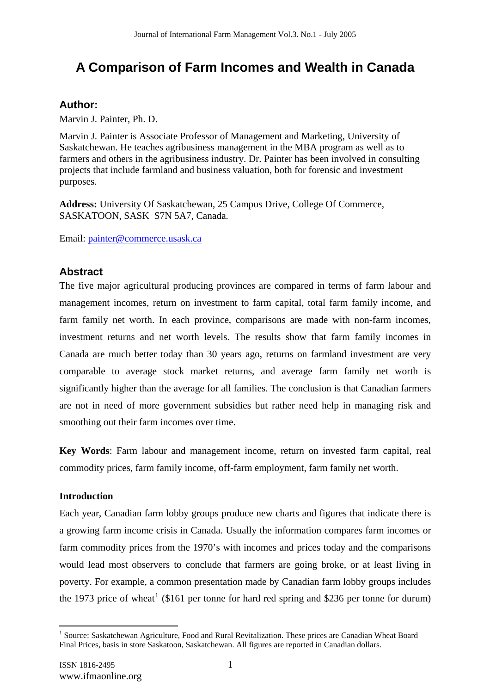# **A Comparison of Farm Incomes and Wealth in Canada**

# **Author:**

Marvin J. Painter, Ph. D.

Marvin J. Painter is Associate Professor of Management and Marketing, University of Saskatchewan. He teaches agribusiness management in the MBA program as well as to farmers and others in the agribusiness industry. Dr. Painter has been involved in consulting projects that include farmland and business valuation, both for forensic and investment purposes.

**Address:** University Of Saskatchewan, 25 Campus Drive, College Of Commerce, SASKATOON, SASK S7N 5A7, Canada.

Email: painter@commerce.usask.ca

# **Abstract**

The five major agricultural producing provinces are compared in terms of farm labour and management incomes, return on investment to farm capital, total farm family income, and farm family net worth. In each province, comparisons are made with non-farm incomes, investment returns and net worth levels. The results show that farm family incomes in Canada are much better today than 30 years ago, returns on farmland investment are very comparable to average stock market returns, and average farm family net worth is significantly higher than the average for all families. The conclusion is that Canadian farmers are not in need of more government subsidies but rather need help in managing risk and smoothing out their farm incomes over time.

**Key Words**: Farm labour and management income, return on invested farm capital, real commodity prices, farm family income, off-farm employment, farm family net worth.

### **Introduction**

Each year, Canadian farm lobby groups produce new charts and figures that indicate there is a growing farm income crisis in Canada. Usually the information compares farm incomes or farm commodity prices from the 1970's with incomes and prices today and the comparisons would lead most observers to conclude that farmers are going broke, or at least living in poverty. For example, a common presentation made by Canadian farm lobby groups includes the 1973 price of wheat<sup>1</sup> (\$161 per tonne for hard red spring and \$236 per tonne for durum)

<sup>&</sup>lt;sup>1</sup> Source: Saskatchewan Agriculture, Food and Rural Revitalization. These prices are Canadian Wheat Board Final Prices, basis in store Saskatoon, Saskatchewan. All figures are reported in Canadian dollars.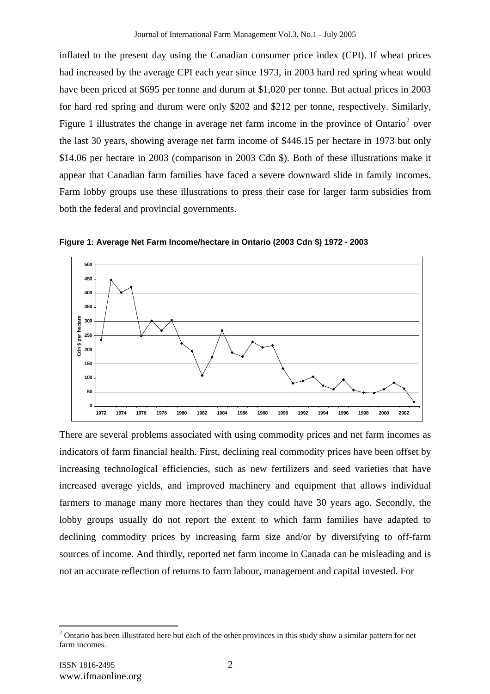inflated to the present day using the Canadian consumer price index (CPI). If wheat prices had increased by the average CPI each year since 1973, in 2003 hard red spring wheat would have been priced at \$695 per tonne and durum at \$1,020 per tonne. But actual prices in 2003 for hard red spring and durum were only \$202 and \$212 per tonne, respectively. Similarly, Figure 1 illustrates the change in average net farm income in the province of Ontario<sup>2</sup> over the last 30 years, showing average net farm income of \$446.15 per hectare in 1973 but only \$14.06 per hectare in 2003 (comparison in 2003 Cdn \$). Both of these illustrations make it appear that Canadian farm families have faced a severe downward slide in family incomes. Farm lobby groups use these illustrations to press their case for larger farm subsidies from both the federal and provincial governments.



**Figure 1: Average Net Farm Income/hectare in Ontario (2003 Cdn \$) 1972 - 2003** 

There are several problems associated with using commodity prices and net farm incomes as indicators of farm financial health. First, declining real commodity prices have been offset by increasing technological efficiencies, such as new fertilizers and seed varieties that have increased average yields, and improved machinery and equipment that allows individual farmers to manage many more hectares than they could have 30 years ago. Secondly, the lobby groups usually do not report the extent to which farm families have adapted to declining commodity prices by increasing farm size and/or by diversifying to off-farm sources of income. And thirdly, reported net farm income in Canada can be misleading and is not an accurate reflection of returns to farm labour, management and capital invested. For

 $2$  Ontario has been illustrated here but each of the other provinces in this study show a similar pattern for net farm incomes.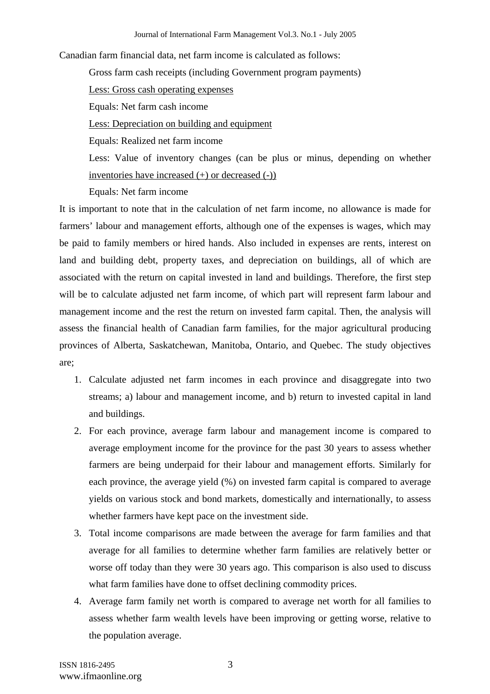Canadian farm financial data, net farm income is calculated as follows:

Gross farm cash receipts (including Government program payments)

Less: Gross cash operating expenses

Equals: Net farm cash income

Less: Depreciation on building and equipment

Equals: Realized net farm income

Less: Value of inventory changes (can be plus or minus, depending on whether inventories have increased (+) or decreased (-))

Equals: Net farm income

It is important to note that in the calculation of net farm income, no allowance is made for farmers' labour and management efforts, although one of the expenses is wages, which may be paid to family members or hired hands. Also included in expenses are rents, interest on land and building debt, property taxes, and depreciation on buildings, all of which are associated with the return on capital invested in land and buildings. Therefore, the first step will be to calculate adjusted net farm income, of which part will represent farm labour and management income and the rest the return on invested farm capital. Then, the analysis will assess the financial health of Canadian farm families, for the major agricultural producing provinces of Alberta, Saskatchewan, Manitoba, Ontario, and Quebec. The study objectives are;

- 1. Calculate adjusted net farm incomes in each province and disaggregate into two streams; a) labour and management income, and b) return to invested capital in land and buildings.
- 2. For each province, average farm labour and management income is compared to average employment income for the province for the past 30 years to assess whether farmers are being underpaid for their labour and management efforts. Similarly for each province, the average yield (%) on invested farm capital is compared to average yields on various stock and bond markets, domestically and internationally, to assess whether farmers have kept pace on the investment side.
- 3. Total income comparisons are made between the average for farm families and that average for all families to determine whether farm families are relatively better or worse off today than they were 30 years ago. This comparison is also used to discuss what farm families have done to offset declining commodity prices.
- 4. Average farm family net worth is compared to average net worth for all families to assess whether farm wealth levels have been improving or getting worse, relative to the population average.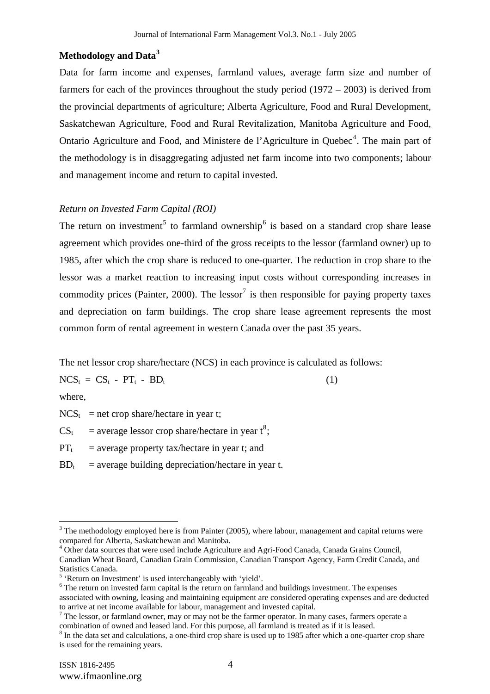### **Methodology and Data<sup>3</sup>**

Data for farm income and expenses, farmland values, average farm size and number of farmers for each of the provinces throughout the study period (1972 – 2003) is derived from the provincial departments of agriculture; Alberta Agriculture, Food and Rural Development, Saskatchewan Agriculture, Food and Rural Revitalization, Manitoba Agriculture and Food, Ontario Agriculture and Food, and Ministere de l'Agriculture in Quebec<sup>4</sup>. The main part of the methodology is in disaggregating adjusted net farm income into two components; labour and management income and return to capital invested.

### *Return on Invested Farm Capital (ROI)*

The return on investment<sup>5</sup> to farmland ownership<sup>6</sup> is based on a standard crop share lease agreement which provides one-third of the gross receipts to the lessor (farmland owner) up to 1985, after which the crop share is reduced to one-quarter. The reduction in crop share to the lessor was a market reaction to increasing input costs without corresponding increases in commodity prices (Painter, 2000). The lessor<sup>7</sup> is then responsible for paying property taxes and depreciation on farm buildings. The crop share lease agreement represents the most common form of rental agreement in western Canada over the past 35 years.

The net lessor crop share/hectare (NCS) in each province is calculated as follows:

 $NCS_t = CS_t - PT_t - BD_t$  (1)

where,

 $\overline{a}$ 

 $NCS_t$  = net crop share/hectare in year t;

 $CS_t$  = average lessor crop share/hectare in year  $t^8$ ;

 $PT_t$  = average property tax/hectare in year t; and

 $BD_t$  = average building depreciation/hectare in year t.

 $3$  The methodology employed here is from Painter (2005), where labour, management and capital returns were compared for Alberta, Saskatchewan and Manitoba.

<sup>&</sup>lt;sup>4</sup> Other data sources that were used include Agriculture and Agri-Food Canada, Canada Grains Council, Canadian Wheat Board, Canadian Grain Commission, Canadian Transport Agency, Farm Credit Canada, and Statistics Canada.

<sup>&</sup>lt;sup>5</sup> 'Return on Investment' is used interchangeably with 'yield'.

<sup>&</sup>lt;sup>6</sup> The return on invested farm capital is the return on farmland and buildings investment. The expenses associated with owning, leasing and maintaining equipment are considered operating expenses and are deducted to arrive at net income available for labour, management and invested capital.

 $7$  The lessor, or farmland owner, may or may not be the farmer operator. In many cases, farmers operate a combination of owned and leased land. For this purpose, all farmland is treated as if it is leased.

<sup>&</sup>lt;sup>8</sup> In the data set and calculations, a one-third crop share is used up to 1985 after which a one-quarter crop share is used for the remaining years.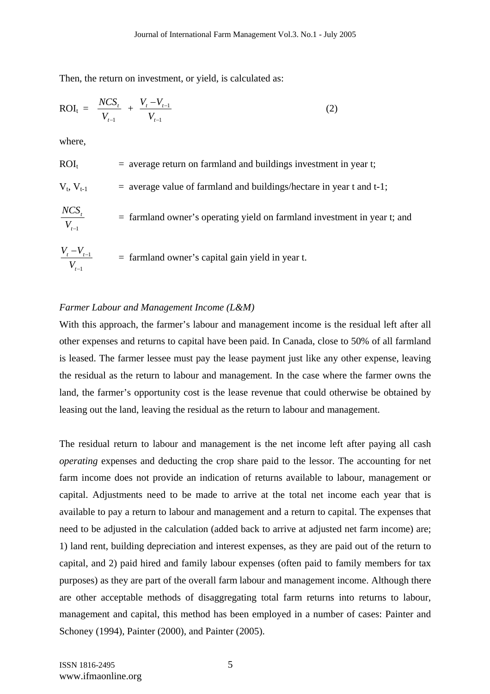Then, the return on investment, or yield, is calculated as:

$$
ROI_{t} = \frac{NCS_{t}}{V_{t-1}} + \frac{V_{t} - V_{t-1}}{V_{t-1}}
$$
\n(2)

where,

$$
ROIt = average return on farmland and buildings investment in year t;\nVt, Vt-1 = average value of farmland and buildings/hectare in year t and t-1;\nNGG
$$

$$
\frac{NCS_t}{V_{t-1}}
$$
 = farmland owner's operating yield on farmland investment in year t; and

$$
\frac{V_t - V_{t-1}}{V_{t-1}}
$$
 = farmland owner's capital gain yield in year t.

#### *Farmer Labour and Management Income (L&M)*

With this approach, the farmer's labour and management income is the residual left after all other expenses and returns to capital have been paid. In Canada, close to 50% of all farmland is leased. The farmer lessee must pay the lease payment just like any other expense, leaving the residual as the return to labour and management. In the case where the farmer owns the land, the farmer's opportunity cost is the lease revenue that could otherwise be obtained by leasing out the land, leaving the residual as the return to labour and management.

The residual return to labour and management is the net income left after paying all cash *operating* expenses and deducting the crop share paid to the lessor. The accounting for net farm income does not provide an indication of returns available to labour, management or capital. Adjustments need to be made to arrive at the total net income each year that is available to pay a return to labour and management and a return to capital. The expenses that need to be adjusted in the calculation (added back to arrive at adjusted net farm income) are; 1) land rent, building depreciation and interest expenses, as they are paid out of the return to capital, and 2) paid hired and family labour expenses (often paid to family members for tax purposes) as they are part of the overall farm labour and management income. Although there are other acceptable methods of disaggregating total farm returns into returns to labour, management and capital, this method has been employed in a number of cases: Painter and Schoney (1994), Painter (2000), and Painter (2005).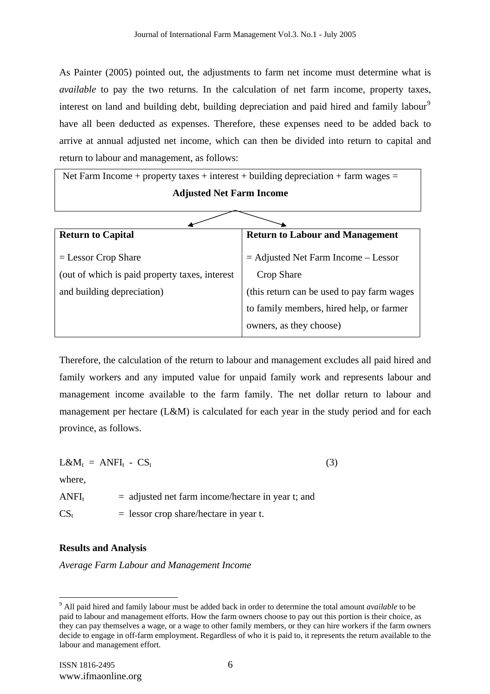As Painter (2005) pointed out, the adjustments to farm net income must determine what is *available* to pay the two returns. In the calculation of net farm income, property taxes, interest on land and building debt, building depreciation and paid hired and family labour<sup>9</sup> have all been deducted as expenses. Therefore, these expenses need to be added back to arrive at annual adjusted net income, which can then be divided into return to capital and return to labour and management, as follows:

Net Farm Income + property taxes + interest + building depreciation + farm wages  $=$ **Adjusted Net Farm Income**

| <b>Return to Capital</b>                       | <b>Return to Labour and Management</b>      |
|------------------------------------------------|---------------------------------------------|
| $=$ Lessor Crop Share                          | $=$ Adjusted Net Farm Income $-$ Lessor     |
| (out of which is paid property taxes, interest | Crop Share                                  |
| and building depreciation)                     | (this return can be used to pay farm wages) |
|                                                | to family members, hired help, or farmer    |
|                                                | owners, as they choose)                     |

Therefore, the calculation of the return to labour and management excludes all paid hired and family workers and any imputed value for unpaid family work and represents labour and management income available to the farm family. The net dollar return to labour and management per hectare (L&M) is calculated for each year in the study period and for each province, as follows.

 $L\&M_t = ANFI_t - CS_t$  (3)

where,

 $\overline{a}$ 

 $ANFI<sub>t</sub>$  = adjusted net farm income/hectare in year t; and

 $CS_t$  = lessor crop share/hectare in year t.

### **Results and Analysis**

*Average Farm Labour and Management Income* 

<sup>9</sup> All paid hired and family labour must be added back in order to determine the total amount *available* to be paid to labour and management efforts. How the farm owners choose to pay out this portion is their choice, as they can pay themselves a wage, or a wage to other family members, or they can hire workers if the farm owners decide to engage in off-farm employment. Regardless of who it is paid to, it represents the return available to the labour and management effort.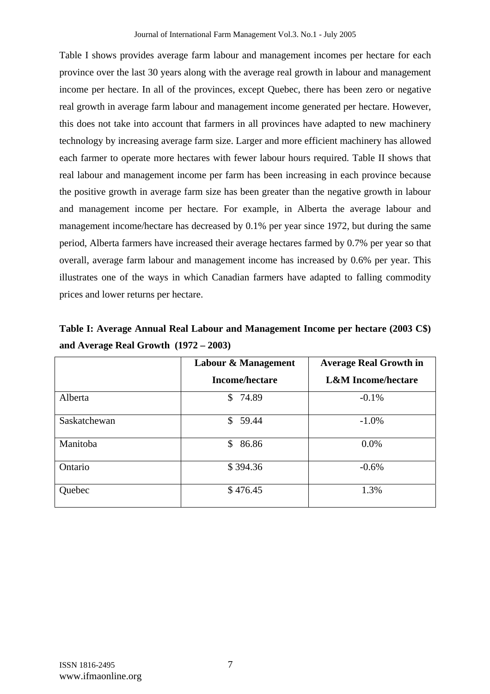Table I shows provides average farm labour and management incomes per hectare for each province over the last 30 years along with the average real growth in labour and management income per hectare. In all of the provinces, except Quebec, there has been zero or negative real growth in average farm labour and management income generated per hectare. However, this does not take into account that farmers in all provinces have adapted to new machinery technology by increasing average farm size. Larger and more efficient machinery has allowed each farmer to operate more hectares with fewer labour hours required. Table II shows that real labour and management income per farm has been increasing in each province because the positive growth in average farm size has been greater than the negative growth in labour and management income per hectare. For example, in Alberta the average labour and management income/hectare has decreased by 0.1% per year since 1972, but during the same period, Alberta farmers have increased their average hectares farmed by 0.7% per year so that overall, average farm labour and management income has increased by 0.6% per year. This illustrates one of the ways in which Canadian farmers have adapted to falling commodity prices and lower returns per hectare.

**Table I: Average Annual Real Labour and Management Income per hectare (2003 C\$) and Average Real Growth (1972 – 2003)** 

|              | Labour & Management   | <b>Average Real Growth in</b> |
|--------------|-----------------------|-------------------------------|
|              | <b>Income/hectare</b> | <b>L&amp;M</b> Income/hectare |
| Alberta      | \$<br>74.89           | $-0.1\%$                      |
| Saskatchewan | \$59.44               | $-1.0\%$                      |
| Manitoba     | 86.86<br>$\mathbb{S}$ | 0.0%                          |
| Ontario      | \$394.36              | $-0.6%$                       |
| Quebec       | \$476.45              | 1.3%                          |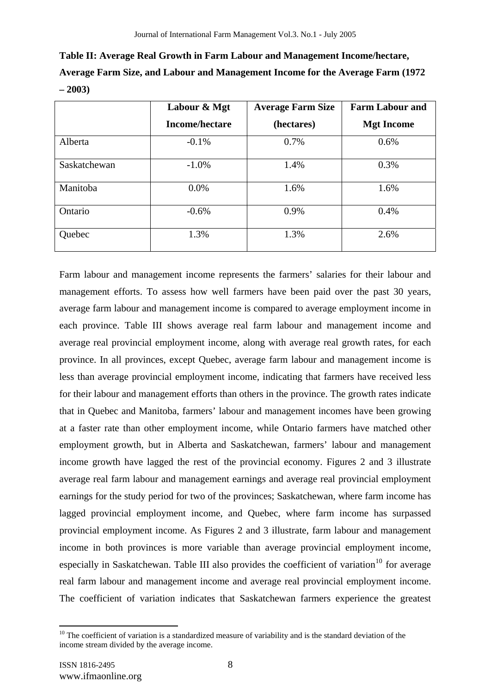**Table II: Average Real Growth in Farm Labour and Management Income/hectare, Average Farm Size, and Labour and Management Income for the Average Farm (1972 – 2003)** 

|              | Labour & Mgt          | <b>Average Farm Size</b> | <b>Farm Labour and</b> |
|--------------|-----------------------|--------------------------|------------------------|
|              | <b>Income/hectare</b> | (hectares)               | <b>Mgt Income</b>      |
| Alberta      | $-0.1%$               | 0.7%                     | 0.6%                   |
| Saskatchewan | $-1.0\%$              | 1.4%                     | 0.3%                   |
| Manitoba     | $0.0\%$               | 1.6%                     | 1.6%                   |
| Ontario      | $-0.6%$               | 0.9%                     | 0.4%                   |
| Quebec       | 1.3%                  | 1.3%                     | 2.6%                   |

Farm labour and management income represents the farmers' salaries for their labour and management efforts. To assess how well farmers have been paid over the past 30 years, average farm labour and management income is compared to average employment income in each province. Table III shows average real farm labour and management income and average real provincial employment income, along with average real growth rates, for each province. In all provinces, except Quebec, average farm labour and management income is less than average provincial employment income, indicating that farmers have received less for their labour and management efforts than others in the province. The growth rates indicate that in Quebec and Manitoba, farmers' labour and management incomes have been growing at a faster rate than other employment income, while Ontario farmers have matched other employment growth, but in Alberta and Saskatchewan, farmers' labour and management income growth have lagged the rest of the provincial economy. Figures 2 and 3 illustrate average real farm labour and management earnings and average real provincial employment earnings for the study period for two of the provinces; Saskatchewan, where farm income has lagged provincial employment income, and Quebec, where farm income has surpassed provincial employment income. As Figures 2 and 3 illustrate, farm labour and management income in both provinces is more variable than average provincial employment income, especially in Saskatchewan. Table III also provides the coefficient of variation<sup>10</sup> for average real farm labour and management income and average real provincial employment income. The coefficient of variation indicates that Saskatchewan farmers experience the greatest

<sup>&</sup>lt;sup>10</sup> The coefficient of variation is a standardized measure of variability and is the standard deviation of the income stream divided by the average income.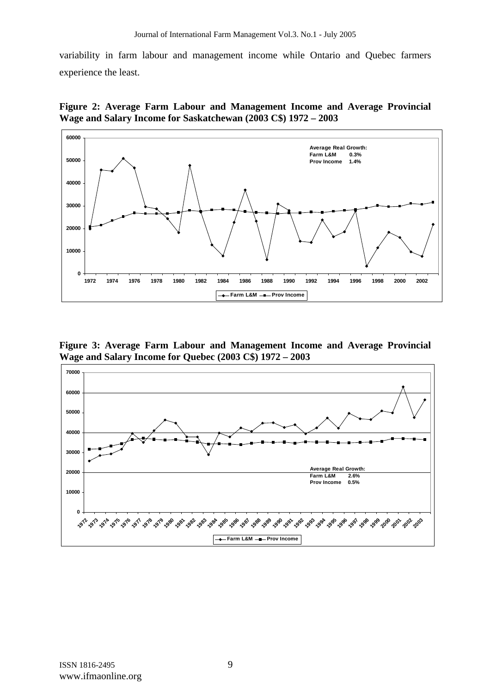variability in farm labour and management income while Ontario and Quebec farmers experience the least.

**Figure 2: Average Farm Labour and Management Income and Average Provincial Wage and Salary Income for Saskatchewan (2003 C\$) 1972 – 2003** 



**Figure 3: Average Farm Labour and Management Income and Average Provincial Wage and Salary Income for Quebec (2003 C\$) 1972 – 2003** 

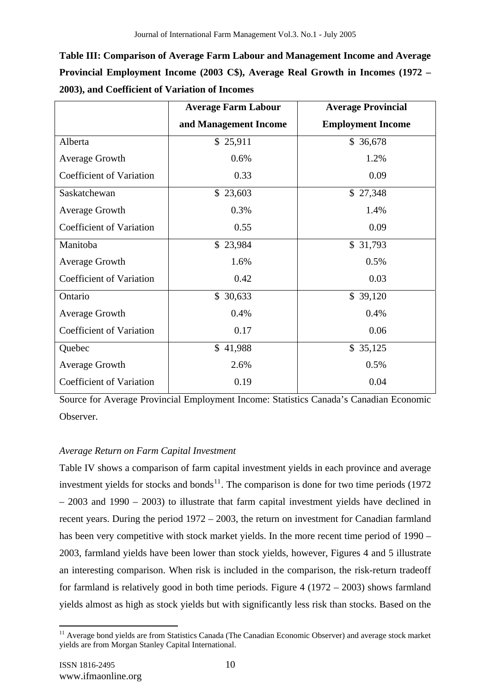| Table III: Comparison of Average Farm Labour and Management Income and Average  |
|---------------------------------------------------------------------------------|
| Provincial Employment Income (2003 C\$), Average Real Growth in Incomes (1972 – |
| 2003), and Coefficient of Variation of Incomes                                  |

|                                 | <b>Average Farm Labour</b> | <b>Average Provincial</b> |
|---------------------------------|----------------------------|---------------------------|
|                                 | and Management Income      | <b>Employment Income</b>  |
| Alberta                         | \$25,911                   | \$ 36,678                 |
| <b>Average Growth</b>           | 0.6%                       | 1.2%                      |
| <b>Coefficient of Variation</b> | 0.33                       | 0.09                      |
| Saskatchewan                    | \$23,603                   | \$27,348                  |
| <b>Average Growth</b>           | 0.3%                       | 1.4%                      |
| <b>Coefficient of Variation</b> | 0.55                       | 0.09                      |
| Manitoba                        | \$23,984                   | \$31,793                  |
| <b>Average Growth</b>           | 1.6%                       | 0.5%                      |
| <b>Coefficient of Variation</b> | 0.42                       | 0.03                      |
| Ontario                         | \$30,633                   | \$39,120                  |
| <b>Average Growth</b>           | 0.4%                       | 0.4%                      |
| Coefficient of Variation        | 0.17                       | 0.06                      |
| Quebec                          | \$41,988                   | \$35,125                  |
| <b>Average Growth</b>           | 2.6%                       | 0.5%                      |
| <b>Coefficient of Variation</b> | 0.19                       | 0.04                      |

Source for Average Provincial Employment Income: Statistics Canada's Canadian Economic Observer.

# *Average Return on Farm Capital Investment*

Table IV shows a comparison of farm capital investment yields in each province and average investment yields for stocks and bonds<sup>11</sup>. The comparison is done for two time periods (1972) – 2003 and 1990 – 2003) to illustrate that farm capital investment yields have declined in recent years. During the period 1972 – 2003, the return on investment for Canadian farmland has been very competitive with stock market yields. In the more recent time period of 1990 – 2003, farmland yields have been lower than stock yields, however, Figures 4 and 5 illustrate an interesting comparison. When risk is included in the comparison, the risk-return tradeoff for farmland is relatively good in both time periods. Figure 4 (1972 – 2003) shows farmland yields almost as high as stock yields but with significantly less risk than stocks. Based on the

 $\overline{a}$ <sup>11</sup> Average bond yields are from Statistics Canada (The Canadian Economic Observer) and average stock market yields are from Morgan Stanley Capital International.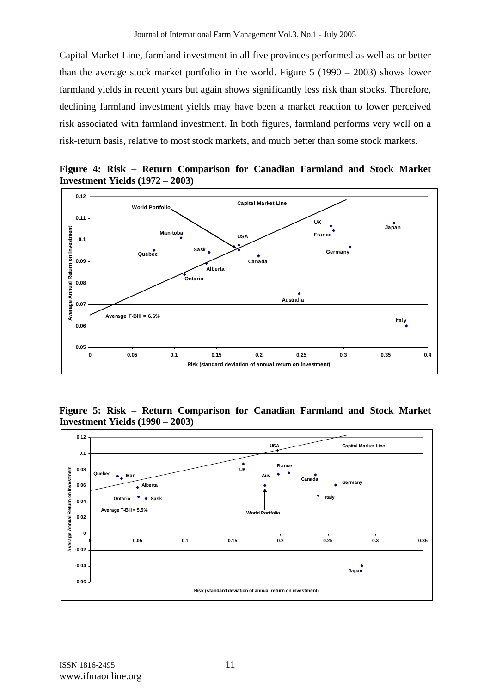Capital Market Line, farmland investment in all five provinces performed as well as or better than the average stock market portfolio in the world. Figure 5 (1990 – 2003) shows lower farmland yields in recent years but again shows significantly less risk than stocks. Therefore, declining farmland investment yields may have been a market reaction to lower perceived risk associated with farmland investment. In both figures, farmland performs very well on a risk-return basis, relative to most stock markets, and much better than some stock markets.



**Figure 4: Risk – Return Comparison for Canadian Farmland and Stock Market Investment Yields (1972 – 2003)** 

**Figure 5: Risk – Return Comparison for Canadian Farmland and Stock Market Investment Yields (1990 – 2003)** 

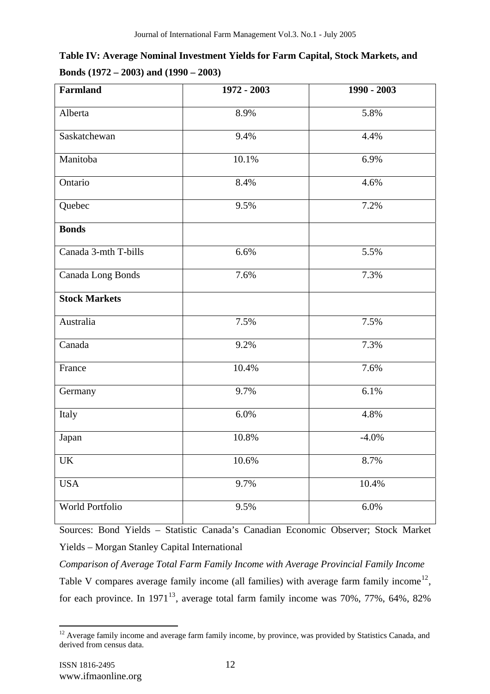| Table IV: Average Nominal Investment Yields for Farm Capital, Stock Markets, and |  |
|----------------------------------------------------------------------------------|--|
| Bonds $(1972 - 2003)$ and $(1990 - 2003)$                                        |  |

| Farmland                          | 1972 - 2003 | 1990 - 2003 |
|-----------------------------------|-------------|-------------|
| Alberta                           | 8.9%        | 5.8%        |
| Saskatchewan                      | 9.4%        | 4.4%        |
| Manitoba                          | 10.1%       | 6.9%        |
| Ontario                           | 8.4%        | 4.6%        |
| Quebec                            | 9.5%        | 7.2%        |
| <b>Bonds</b>                      |             |             |
| Canada 3-mth T-bills              | 6.6%        | 5.5%        |
| Canada Long Bonds                 | 7.6%        | 7.3%        |
| <b>Stock Markets</b>              |             |             |
| Australia                         | 7.5%        | 7.5%        |
| Canada                            | 9.2%        | 7.3%        |
| France                            | 10.4%       | 7.6%        |
| Germany                           | 9.7%        | 6.1%        |
| Italy                             | 6.0%        | 4.8%        |
| Japan                             | 10.8%       | $-4.0%$     |
| $\ensuremath{\mathrm{UK}}\xspace$ | $10.6\%$    | 8.7%        |
| <b>USA</b>                        | 9.7%        | 10.4%       |
| World Portfolio                   | 9.5%        | 6.0%        |

Sources: Bond Yields – Statistic Canada's Canadian Economic Observer; Stock Market Yields – Morgan Stanley Capital International

*Comparison of Average Total Farm Family Income with Average Provincial Family Income*  Table V compares average family income (all families) with average farm family income<sup>12</sup>, for each province. In  $1971^{13}$ , average total farm family income was 70%, 77%, 64%, 82%

 $12$  Average family income and average farm family income, by province, was provided by Statistics Canada, and derived from census data.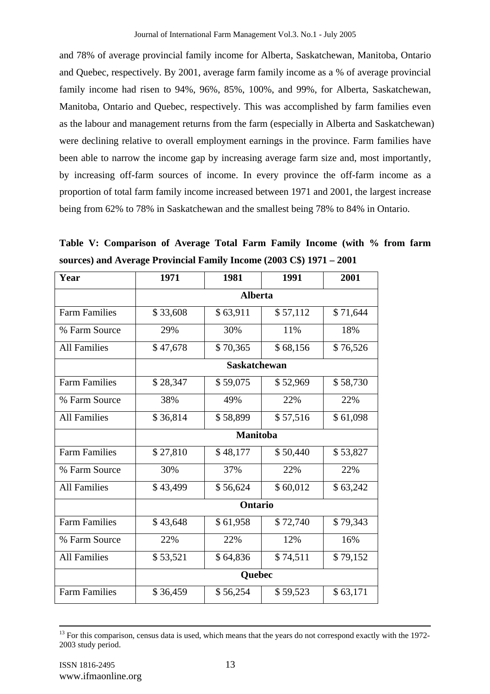and 78% of average provincial family income for Alberta, Saskatchewan, Manitoba, Ontario and Quebec, respectively. By 2001, average farm family income as a % of average provincial family income had risen to 94%, 96%, 85%, 100%, and 99%, for Alberta, Saskatchewan, Manitoba, Ontario and Quebec, respectively. This was accomplished by farm families even as the labour and management returns from the farm (especially in Alberta and Saskatchewan) were declining relative to overall employment earnings in the province. Farm families have been able to narrow the income gap by increasing average farm size and, most importantly, by increasing off-farm sources of income. In every province the off-farm income as a proportion of total farm family income increased between 1971 and 2001, the largest increase being from 62% to 78% in Saskatchewan and the smallest being 78% to 84% in Ontario.

**Table V: Comparison of Average Total Farm Family Income (with % from farm sources) and Average Provincial Family Income (2003 C\$) 1971 – 2001** 

| 1971            | 1981     | 1991     | 2001                |
|-----------------|----------|----------|---------------------|
| <b>Alberta</b>  |          |          |                     |
| \$33,608        | \$63,911 | \$57,112 | \$71,644            |
| 29%             | 30%      | 11%      | 18%                 |
| \$47,678        | \$70,365 | \$68,156 | \$76,526            |
|                 |          |          |                     |
| \$28,347        | \$59,075 | \$52,969 | \$58,730            |
| 38%             | 49%      | 22%      | 22%                 |
| \$36,814        | \$58,899 | \$57,516 | \$61,098            |
| <b>Manitoba</b> |          |          |                     |
| \$27,810        | \$48,177 | \$50,440 | \$53,827            |
| 30%             | 37%      | 22%      | 22%                 |
| \$43,499        | \$56,624 | \$60,012 | \$63,242            |
| Ontario         |          |          |                     |
| \$43,648        | \$61,958 | \$72,740 | \$79,343            |
| 22%             | 22%      | 12%      | 16%                 |
| \$53,521        | \$64,836 | \$74,511 | \$79,152            |
| Quebec          |          |          |                     |
| \$36,459        | \$56,254 | \$59,523 | \$63,171            |
|                 |          |          | <b>Saskatchewan</b> |

<sup>&</sup>lt;sup>13</sup> For this comparison, census data is used, which means that the years do not correspond exactly with the 1972-2003 study period.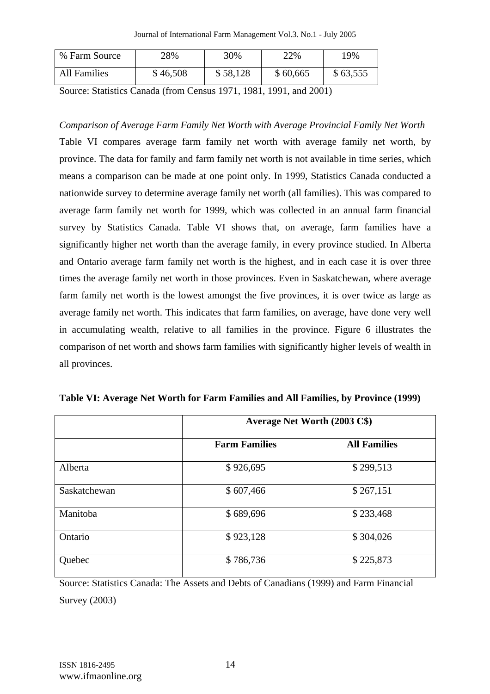Journal of International Farm Management Vol.3. No.1 - July 2005

| % Farm Source       | 28%      | 30%      | 22%      | 19%      |
|---------------------|----------|----------|----------|----------|
| <b>All Families</b> | \$46,508 | \$58,128 | \$60,665 | \$63,555 |

Source: Statistics Canada (from Census 1971, 1981, 1991, and 2001)

*Comparison of Average Farm Family Net Worth with Average Provincial Family Net Worth*  Table VI compares average farm family net worth with average family net worth, by province. The data for family and farm family net worth is not available in time series, which means a comparison can be made at one point only. In 1999, Statistics Canada conducted a nationwide survey to determine average family net worth (all families). This was compared to average farm family net worth for 1999, which was collected in an annual farm financial survey by Statistics Canada. Table VI shows that, on average, farm families have a significantly higher net worth than the average family, in every province studied. In Alberta and Ontario average farm family net worth is the highest, and in each case it is over three times the average family net worth in those provinces. Even in Saskatchewan, where average farm family net worth is the lowest amongst the five provinces, it is over twice as large as average family net worth. This indicates that farm families, on average, have done very well in accumulating wealth, relative to all families in the province. Figure 6 illustrates the comparison of net worth and shows farm families with significantly higher levels of wealth in all provinces.

|              | Average Net Worth (2003 C\$) |                     |  |
|--------------|------------------------------|---------------------|--|
|              | <b>Farm Families</b>         | <b>All Families</b> |  |
| Alberta      | \$926,695                    | \$299,513           |  |
| Saskatchewan | \$607,466                    | \$267,151           |  |
| Manitoba     | \$689,696                    | \$233,468           |  |
| Ontario      | \$923,128                    | \$304,026           |  |
| Quebec       | \$786,736                    | \$225,873           |  |

**Table VI: Average Net Worth for Farm Families and All Families, by Province (1999)** 

Source: Statistics Canada: The Assets and Debts of Canadians (1999) and Farm Financial Survey (2003)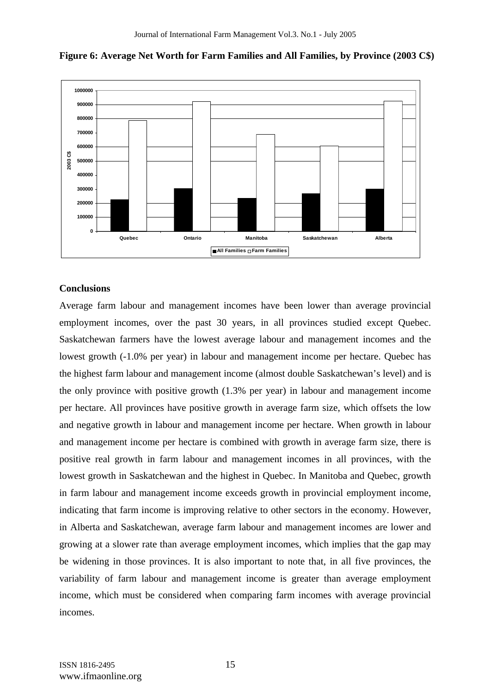



#### **Conclusions**

Average farm labour and management incomes have been lower than average provincial employment incomes, over the past 30 years, in all provinces studied except Quebec. Saskatchewan farmers have the lowest average labour and management incomes and the lowest growth (-1.0% per year) in labour and management income per hectare. Quebec has the highest farm labour and management income (almost double Saskatchewan's level) and is the only province with positive growth (1.3% per year) in labour and management income per hectare. All provinces have positive growth in average farm size, which offsets the low and negative growth in labour and management income per hectare. When growth in labour and management income per hectare is combined with growth in average farm size, there is positive real growth in farm labour and management incomes in all provinces, with the lowest growth in Saskatchewan and the highest in Quebec. In Manitoba and Quebec, growth in farm labour and management income exceeds growth in provincial employment income, indicating that farm income is improving relative to other sectors in the economy. However, in Alberta and Saskatchewan, average farm labour and management incomes are lower and growing at a slower rate than average employment incomes, which implies that the gap may be widening in those provinces. It is also important to note that, in all five provinces, the variability of farm labour and management income is greater than average employment income, which must be considered when comparing farm incomes with average provincial incomes.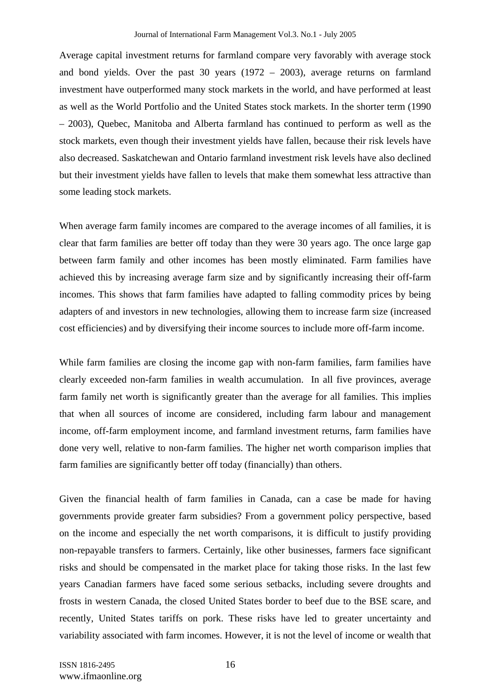Average capital investment returns for farmland compare very favorably with average stock and bond yields. Over the past 30 years (1972 – 2003), average returns on farmland investment have outperformed many stock markets in the world, and have performed at least as well as the World Portfolio and the United States stock markets. In the shorter term (1990 – 2003), Quebec, Manitoba and Alberta farmland has continued to perform as well as the stock markets, even though their investment yields have fallen, because their risk levels have also decreased. Saskatchewan and Ontario farmland investment risk levels have also declined but their investment yields have fallen to levels that make them somewhat less attractive than some leading stock markets.

When average farm family incomes are compared to the average incomes of all families, it is clear that farm families are better off today than they were 30 years ago. The once large gap between farm family and other incomes has been mostly eliminated. Farm families have achieved this by increasing average farm size and by significantly increasing their off-farm incomes. This shows that farm families have adapted to falling commodity prices by being adapters of and investors in new technologies, allowing them to increase farm size (increased cost efficiencies) and by diversifying their income sources to include more off-farm income.

While farm families are closing the income gap with non-farm families, farm families have clearly exceeded non-farm families in wealth accumulation. In all five provinces, average farm family net worth is significantly greater than the average for all families. This implies that when all sources of income are considered, including farm labour and management income, off-farm employment income, and farmland investment returns, farm families have done very well, relative to non-farm families. The higher net worth comparison implies that farm families are significantly better off today (financially) than others.

Given the financial health of farm families in Canada, can a case be made for having governments provide greater farm subsidies? From a government policy perspective, based on the income and especially the net worth comparisons, it is difficult to justify providing non-repayable transfers to farmers. Certainly, like other businesses, farmers face significant risks and should be compensated in the market place for taking those risks. In the last few years Canadian farmers have faced some serious setbacks, including severe droughts and frosts in western Canada, the closed United States border to beef due to the BSE scare, and recently, United States tariffs on pork. These risks have led to greater uncertainty and variability associated with farm incomes. However, it is not the level of income or wealth that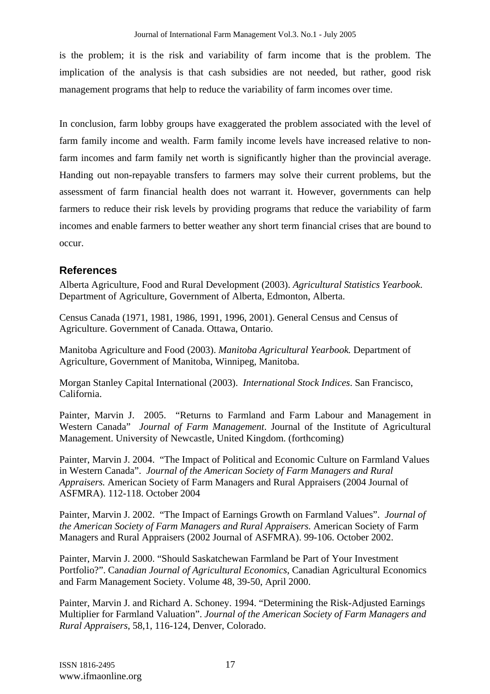is the problem; it is the risk and variability of farm income that is the problem. The implication of the analysis is that cash subsidies are not needed, but rather, good risk management programs that help to reduce the variability of farm incomes over time.

In conclusion, farm lobby groups have exaggerated the problem associated with the level of farm family income and wealth. Farm family income levels have increased relative to nonfarm incomes and farm family net worth is significantly higher than the provincial average. Handing out non-repayable transfers to farmers may solve their current problems, but the assessment of farm financial health does not warrant it. However, governments can help farmers to reduce their risk levels by providing programs that reduce the variability of farm incomes and enable farmers to better weather any short term financial crises that are bound to occur.

# **References**

Alberta Agriculture, Food and Rural Development (2003). *Agricultural Statistics Yearbook*. Department of Agriculture, Government of Alberta, Edmonton, Alberta.

Census Canada (1971, 1981, 1986, 1991, 1996, 2001). General Census and Census of Agriculture. Government of Canada. Ottawa, Ontario.

Manitoba Agriculture and Food (2003). *Manitoba Agricultural Yearbook.* Department of Agriculture, Government of Manitoba, Winnipeg, Manitoba.

Morgan Stanley Capital International (2003). *International Stock Indices*. San Francisco, California.

Painter, Marvin J. 2005. "Returns to Farmland and Farm Labour and Management in Western Canada" *Journal of Farm Management*. Journal of the Institute of Agricultural Management. University of Newcastle, United Kingdom. (forthcoming)

Painter, Marvin J. 2004. "The Impact of Political and Economic Culture on Farmland Values in Western Canada". *Journal of the American Society of Farm Managers and Rural Appraisers.* American Society of Farm Managers and Rural Appraisers (2004 Journal of ASFMRA). 112-118. October 2004

Painter, Marvin J. 2002. "The Impact of Earnings Growth on Farmland Values". *Journal of the American Society of Farm Managers and Rural Appraisers.* American Society of Farm Managers and Rural Appraisers (2002 Journal of ASFMRA). 99-106. October 2002.

Painter, Marvin J. 2000. "Should Saskatchewan Farmland be Part of Your Investment Portfolio?". Ca*nadian Journal of Agricultural Economics*, Canadian Agricultural Economics and Farm Management Society. Volume 48, 39-50, April 2000.

Painter, Marvin J. and Richard A. Schoney. 1994. "Determining the Risk-Adjusted Earnings Multiplier for Farmland Valuation". *Journal of the American Society of Farm Managers and Rural Appraisers*, 58,1, 116-124, Denver, Colorado.